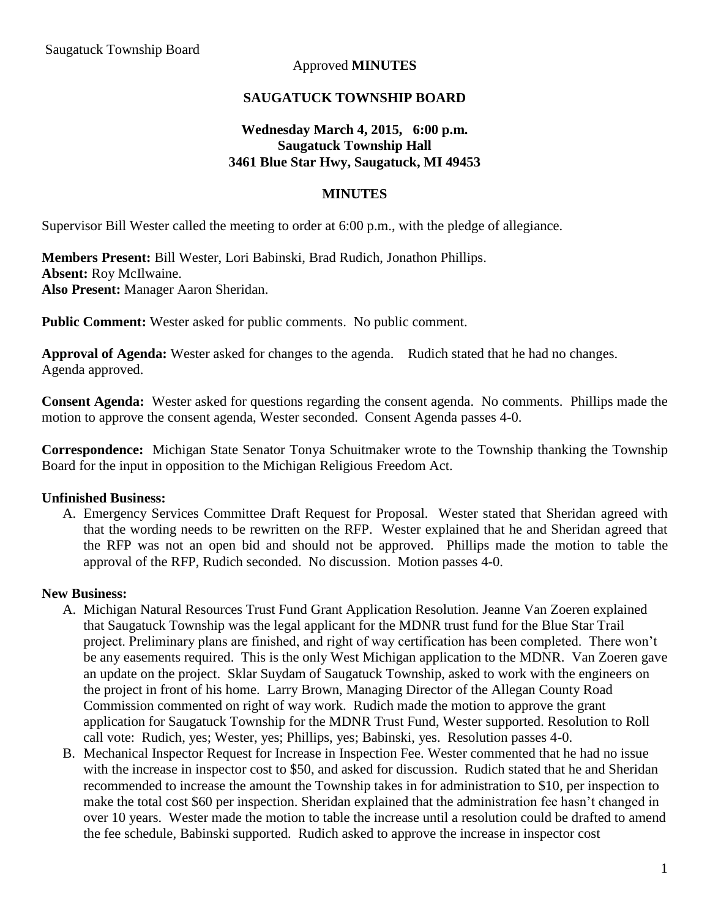## Approved **MINUTES**

### **SAUGATUCK TOWNSHIP BOARD**

## **Wednesday March 4, 2015, 6:00 p.m. Saugatuck Township Hall 3461 Blue Star Hwy, Saugatuck, MI 49453**

#### **MINUTES**

Supervisor Bill Wester called the meeting to order at 6:00 p.m., with the pledge of allegiance.

**Members Present:** Bill Wester, Lori Babinski, Brad Rudich, Jonathon Phillips. **Absent:** Roy McIlwaine. **Also Present:** Manager Aaron Sheridan.

**Public Comment:** Wester asked for public comments. No public comment.

**Approval of Agenda:** Wester asked for changes to the agenda. Rudich stated that he had no changes. Agenda approved.

**Consent Agenda:** Wester asked for questions regarding the consent agenda. No comments. Phillips made the motion to approve the consent agenda, Wester seconded. Consent Agenda passes 4-0.

**Correspondence:** Michigan State Senator Tonya Schuitmaker wrote to the Township thanking the Township Board for the input in opposition to the Michigan Religious Freedom Act.

#### **Unfinished Business:**

A. Emergency Services Committee Draft Request for Proposal. Wester stated that Sheridan agreed with that the wording needs to be rewritten on the RFP. Wester explained that he and Sheridan agreed that the RFP was not an open bid and should not be approved. Phillips made the motion to table the approval of the RFP, Rudich seconded. No discussion. Motion passes 4-0.

#### **New Business:**

- A. Michigan Natural Resources Trust Fund Grant Application Resolution. Jeanne Van Zoeren explained that Saugatuck Township was the legal applicant for the MDNR trust fund for the Blue Star Trail project. Preliminary plans are finished, and right of way certification has been completed. There won't be any easements required. This is the only West Michigan application to the MDNR. Van Zoeren gave an update on the project. Sklar Suydam of Saugatuck Township, asked to work with the engineers on the project in front of his home. Larry Brown, Managing Director of the Allegan County Road Commission commented on right of way work. Rudich made the motion to approve the grant application for Saugatuck Township for the MDNR Trust Fund, Wester supported. Resolution to Roll call vote: Rudich, yes; Wester, yes; Phillips, yes; Babinski, yes. Resolution passes 4-0.
- B. Mechanical Inspector Request for Increase in Inspection Fee. Wester commented that he had no issue with the increase in inspector cost to \$50, and asked for discussion. Rudich stated that he and Sheridan recommended to increase the amount the Township takes in for administration to \$10, per inspection to make the total cost \$60 per inspection. Sheridan explained that the administration fee hasn't changed in over 10 years. Wester made the motion to table the increase until a resolution could be drafted to amend the fee schedule, Babinski supported. Rudich asked to approve the increase in inspector cost